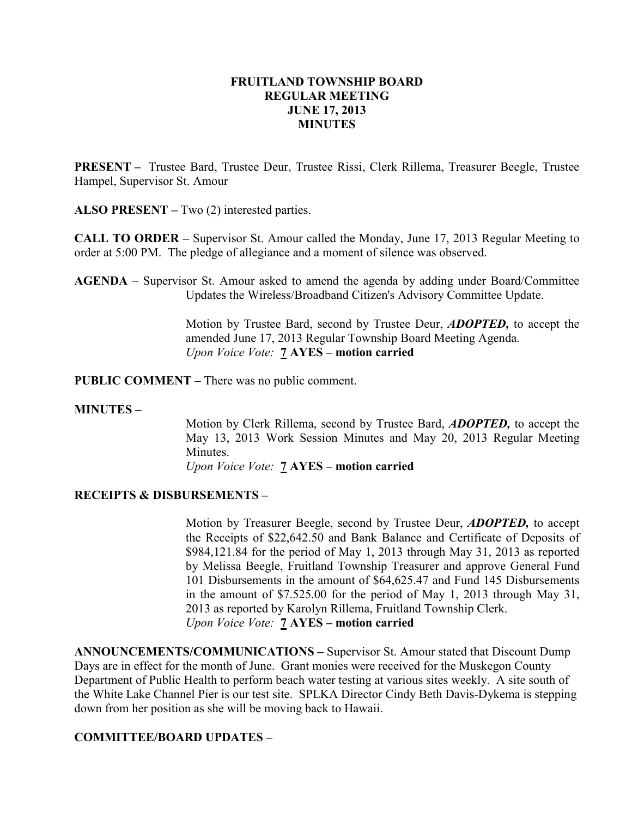### FRUITLAND TOWNSHIP BOARD REGULAR MEETING JUNE 17, 2013 MINUTES

PRESENT – Trustee Bard, Trustee Deur, Trustee Rissi, Clerk Rillema, Treasurer Beegle, Trustee Hampel, Supervisor St. Amour

ALSO PRESENT – Two (2) interested parties.

CALL TO ORDER – Supervisor St. Amour called the Monday, June 17, 2013 Regular Meeting to order at 5:00 PM. The pledge of allegiance and a moment of silence was observed.

AGENDA – Supervisor St. Amour asked to amend the agenda by adding under Board/Committee Updates the Wireless/Broadband Citizen's Advisory Committee Update.

> Motion by Trustee Bard, second by Trustee Deur, ADOPTED, to accept the amended June 17, 2013 Regular Township Board Meeting Agenda. Upon Voice Vote: **7 AYES** – motion carried

PUBLIC COMMENT – There was no public comment.

#### MINUTES –

Motion by Clerk Rillema, second by Trustee Bard, ADOPTED, to accept the May 13, 2013 Work Session Minutes and May 20, 2013 Regular Meeting Minutes.

Upon Voice Vote: 7 AYES – motion carried

# RECEIPTS & DISBURSEMENTS –

Motion by Treasurer Beegle, second by Trustee Deur, **ADOPTED**, to accept the Receipts of \$22,642.50 and Bank Balance and Certificate of Deposits of \$984,121.84 for the period of May 1, 2013 through May 31, 2013 as reported by Melissa Beegle, Fruitland Township Treasurer and approve General Fund 101 Disbursements in the amount of \$64,625.47 and Fund 145 Disbursements in the amount of \$7.525.00 for the period of May 1, 2013 through May 31, 2013 as reported by Karolyn Rillema, Fruitland Township Clerk. Upon Voice Vote: 7 AYES – motion carried

ANNOUNCEMENTS/COMMUNICATIONS – Supervisor St. Amour stated that Discount Dump Days are in effect for the month of June. Grant monies were received for the Muskegon County Department of Public Health to perform beach water testing at various sites weekly. A site south of the White Lake Channel Pier is our test site. SPLKA Director Cindy Beth Davis-Dykema is stepping down from her position as she will be moving back to Hawaii.

# COMMITTEE/BOARD UPDATES –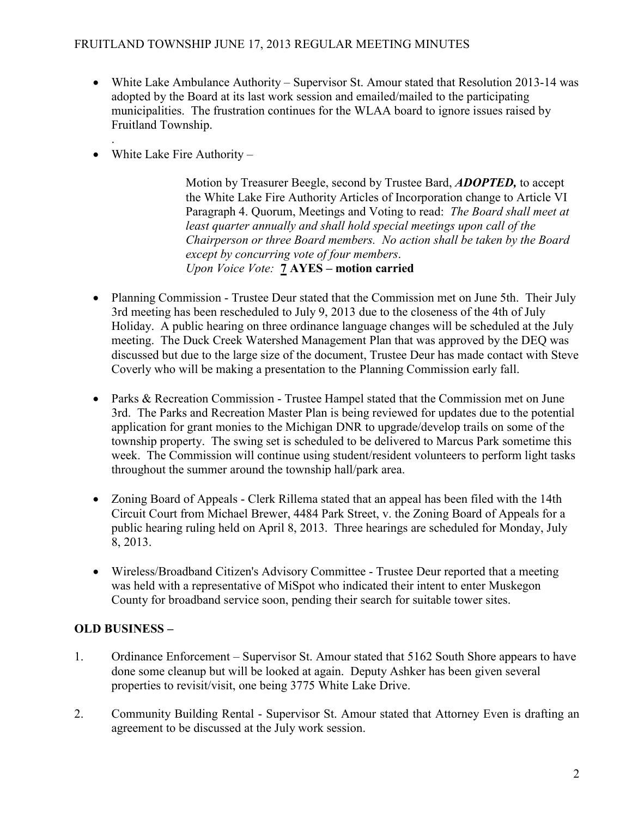# FRUITLAND TOWNSHIP JUNE 17, 2013 REGULAR MEETING MINUTES

- White Lake Ambulance Authority Supervisor St. Amour stated that Resolution 2013-14 was adopted by the Board at its last work session and emailed/mailed to the participating municipalities. The frustration continues for the WLAA board to ignore issues raised by Fruitland Township.
- . • White Lake Fire Authority –

Motion by Treasurer Beegle, second by Trustee Bard, **ADOPTED**, to accept the White Lake Fire Authority Articles of Incorporation change to Article VI Paragraph 4. Quorum, Meetings and Voting to read: The Board shall meet at least quarter annually and shall hold special meetings upon call of the Chairperson or three Board members. No action shall be taken by the Board except by concurring vote of four members. Upon Voice Vote: 7 AYES – motion carried

- Planning Commission Trustee Deur stated that the Commission met on June 5th. Their July 3rd meeting has been rescheduled to July 9, 2013 due to the closeness of the 4th of July Holiday. A public hearing on three ordinance language changes will be scheduled at the July meeting. The Duck Creek Watershed Management Plan that was approved by the DEQ was discussed but due to the large size of the document, Trustee Deur has made contact with Steve Coverly who will be making a presentation to the Planning Commission early fall.
- Parks & Recreation Commission Trustee Hampel stated that the Commission met on June 3rd. The Parks and Recreation Master Plan is being reviewed for updates due to the potential application for grant monies to the Michigan DNR to upgrade/develop trails on some of the township property. The swing set is scheduled to be delivered to Marcus Park sometime this week. The Commission will continue using student/resident volunteers to perform light tasks throughout the summer around the township hall/park area.
- Zoning Board of Appeals Clerk Rillema stated that an appeal has been filed with the 14th Circuit Court from Michael Brewer, 4484 Park Street, v. the Zoning Board of Appeals for a public hearing ruling held on April 8, 2013. Three hearings are scheduled for Monday, July 8, 2013.
- Wireless/Broadband Citizen's Advisory Committee Trustee Deur reported that a meeting was held with a representative of MiSpot who indicated their intent to enter Muskegon County for broadband service soon, pending their search for suitable tower sites.

# OLD BUSINESS –

- 1. Ordinance Enforcement Supervisor St. Amour stated that 5162 South Shore appears to have done some cleanup but will be looked at again. Deputy Ashker has been given several properties to revisit/visit, one being 3775 White Lake Drive.
- 2. Community Building Rental Supervisor St. Amour stated that Attorney Even is drafting an agreement to be discussed at the July work session.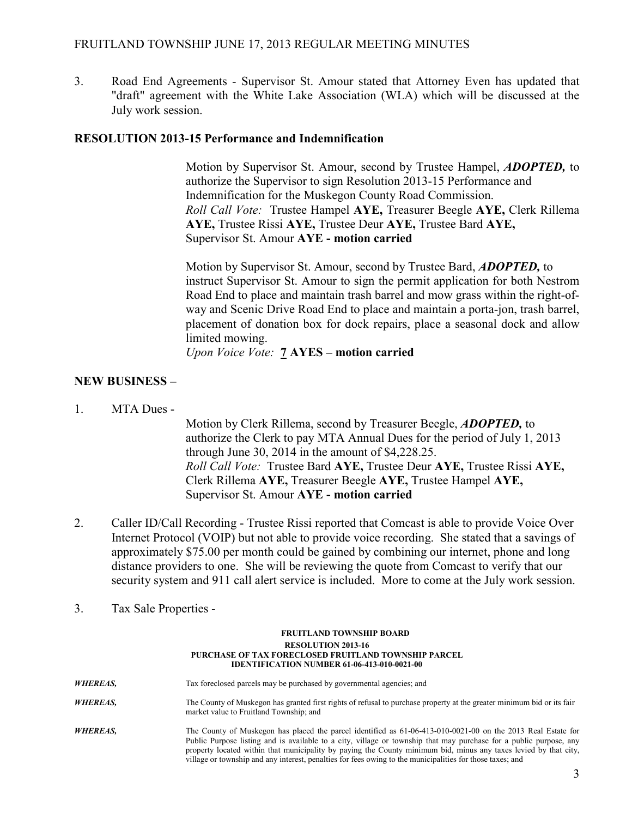# FRUITLAND TOWNSHIP JUNE 17, 2013 REGULAR MEETING MINUTES

3. Road End Agreements - Supervisor St. Amour stated that Attorney Even has updated that "draft" agreement with the White Lake Association (WLA) which will be discussed at the July work session.

#### RESOLUTION 2013-15 Performance and Indemnification

Motion by Supervisor St. Amour, second by Trustee Hampel, **ADOPTED**, to authorize the Supervisor to sign Resolution 2013-15 Performance and Indemnification for the Muskegon County Road Commission. Roll Call Vote: Trustee Hampel AYE, Treasurer Beegle AYE, Clerk Rillema AYE, Trustee Rissi AYE, Trustee Deur AYE, Trustee Bard AYE, Supervisor St. Amour AYE - motion carried

 Motion by Supervisor St. Amour, second by Trustee Bard, ADOPTED, to instruct Supervisor St. Amour to sign the permit application for both Nestrom Road End to place and maintain trash barrel and mow grass within the right-of way and Scenic Drive Road End to place and maintain a porta-jon, trash barrel, placement of donation box for dock repairs, place a seasonal dock and allow limited mowing.

Upon Voice Vote: **7 AYES** – motion carried

# NEW BUSINESS –

1. MTA Dues -

 Motion by Clerk Rillema, second by Treasurer Beegle, ADOPTED, to authorize the Clerk to pay MTA Annual Dues for the period of July 1, 2013 through June 30, 2014 in the amount of \$4,228.25. Roll Call Vote: Trustee Bard AYE, Trustee Deur AYE, Trustee Rissi AYE, Clerk Rillema AYE, Treasurer Beegle AYE, Trustee Hampel AYE, Supervisor St. Amour AYE - motion carried

- 2. Caller ID/Call Recording Trustee Rissi reported that Comcast is able to provide Voice Over Internet Protocol (VOIP) but not able to provide voice recording. She stated that a savings of approximately \$75.00 per month could be gained by combining our internet, phone and long distance providers to one. She will be reviewing the quote from Comcast to verify that our security system and 911 call alert service is included. More to come at the July work session.
- 3. Tax Sale Properties -

#### FRUITLAND TOWNSHIP BOARD RESOLUTION 2013-16 PURCHASE OF TAX FORECLOSED FRUITLAND TOWNSHIP PARCEL IDENTIFICATION NUMBER 61-06-413-010-0021-00

WHEREAS, Tax foreclosed parcels may be purchased by governmental agencies; and WHEREAS, The County of Muskegon has granted first rights of refusal to purchase property at the greater minimum bid or its fair market value to Fruitland Township; and

WHEREAS, The County of Muskegon has placed the parcel identified as 61-06-413-010-0021-00 on the 2013 Real Estate for Public Purpose listing and is available to a city, village or township that may purchase for a public purpose, any property located within that municipality by paying the County minimum bid, minus any taxes levied by that city, village or township and any interest, penalties for fees owing to the municipalities for those taxes; and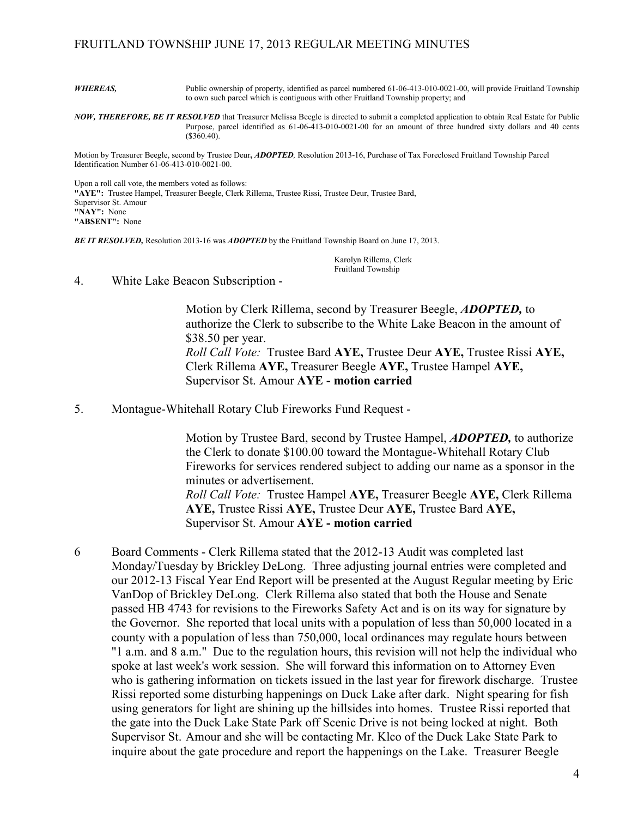#### FRUITLAND TOWNSHIP JUNE 17, 2013 REGULAR MEETING MINUTES

WHEREAS, Public ownership of property, identified as parcel numbered 61-06-413-010-0021-00, will provide Fruitland Township to own such parcel which is contiguous with other Fruitland Township property; and

NOW, THEREFORE, BE IT RESOLVED that Treasurer Melissa Beegle is directed to submit a completed application to obtain Real Estate for Public Purpose, parcel identified as 61-06-413-010-0021-00 for an amount of three hundred sixty dollars and 40 cents  $(*360.40).$ 

Motion by Treasurer Beegle, second by Trustee Deur, *ADOPTED*, Resolution 2013-16, Purchase of Tax Foreclosed Fruitland Township Parcel Identification Number 61-06-413-010-0021-00.

Upon a roll call vote, the members voted as follows: "AYE": Trustee Hampel, Treasurer Beegle, Clerk Rillema, Trustee Rissi, Trustee Deur, Trustee Bard, Supervisor St. Amour "NAY": None "ABSENT": None

BE IT RESOLVED, Resolution 2013-16 was *ADOPTED* by the Fruitland Township Board on June 17, 2013.

 Karolyn Rillema, Clerk Fruitland Township

4. White Lake Beacon Subscription -

 Motion by Clerk Rillema, second by Treasurer Beegle, ADOPTED, to authorize the Clerk to subscribe to the White Lake Beacon in the amount of \$38.50 per year. Roll Call Vote: Trustee Bard AYE, Trustee Deur AYE, Trustee Rissi AYE, Clerk Rillema AYE, Treasurer Beegle AYE, Trustee Hampel AYE, Supervisor St. Amour AYE - motion carried

5. Montague-Whitehall Rotary Club Fireworks Fund Request -

 Motion by Trustee Bard, second by Trustee Hampel, ADOPTED, to authorize the Clerk to donate \$100.00 toward the Montague-Whitehall Rotary Club Fireworks for services rendered subject to adding our name as a sponsor in the minutes or advertisement. Roll Call Vote: Trustee Hampel AYE, Treasurer Beegle AYE, Clerk Rillema

 AYE, Trustee Rissi AYE, Trustee Deur AYE, Trustee Bard AYE, Supervisor St. Amour AYE - motion carried

6 Board Comments - Clerk Rillema stated that the 2012-13 Audit was completed last Monday/Tuesday by Brickley DeLong. Three adjusting journal entries were completed and our 2012-13 Fiscal Year End Report will be presented at the August Regular meeting by Eric VanDop of Brickley DeLong. Clerk Rillema also stated that both the House and Senate passed HB 4743 for revisions to the Fireworks Safety Act and is on its way for signature by the Governor. She reported that local units with a population of less than 50,000 located in a county with a population of less than 750,000, local ordinances may regulate hours between "1 a.m. and 8 a.m." Due to the regulation hours, this revision will not help the individual who spoke at last week's work session. She will forward this information on to Attorney Even who is gathering information on tickets issued in the last year for firework discharge. Trustee Rissi reported some disturbing happenings on Duck Lake after dark. Night spearing for fish using generators for light are shining up the hillsides into homes. Trustee Rissi reported that the gate into the Duck Lake State Park off Scenic Drive is not being locked at night. Both Supervisor St. Amour and she will be contacting Mr. Klco of the Duck Lake State Park to inquire about the gate procedure and report the happenings on the Lake. Treasurer Beegle